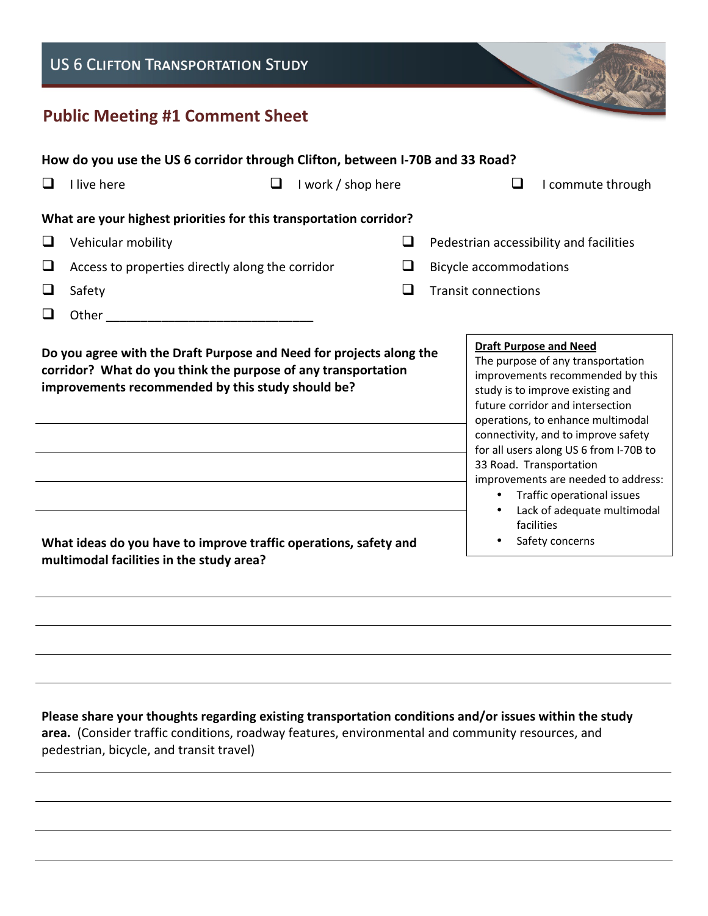## **US 6 CLIFTON TRANSPORTATION STUDY**

## **Public Meeting #1 Comment Sheet**

| How do you use the US 6 corridor through Clifton, between I-70B and 33 Road?                                                                                                              |                                                  |   |                                                                                                                                                                                                                                                                                                                                                                                                                                                                |  |
|-------------------------------------------------------------------------------------------------------------------------------------------------------------------------------------------|--------------------------------------------------|---|----------------------------------------------------------------------------------------------------------------------------------------------------------------------------------------------------------------------------------------------------------------------------------------------------------------------------------------------------------------------------------------------------------------------------------------------------------------|--|
|                                                                                                                                                                                           | I live here<br>I work / shop here                |   | I commute through                                                                                                                                                                                                                                                                                                                                                                                                                                              |  |
| What are your highest priorities for this transportation corridor?                                                                                                                        |                                                  |   |                                                                                                                                                                                                                                                                                                                                                                                                                                                                |  |
| ❏                                                                                                                                                                                         | Vehicular mobility                               | ப | Pedestrian accessibility and facilities                                                                                                                                                                                                                                                                                                                                                                                                                        |  |
| ⊔                                                                                                                                                                                         | Access to properties directly along the corridor | ப | <b>Bicycle accommodations</b>                                                                                                                                                                                                                                                                                                                                                                                                                                  |  |
| $\Box$                                                                                                                                                                                    | Safety                                           | ❏ | <b>Transit connections</b>                                                                                                                                                                                                                                                                                                                                                                                                                                     |  |
| ப                                                                                                                                                                                         | Other                                            |   |                                                                                                                                                                                                                                                                                                                                                                                                                                                                |  |
| Do you agree with the Draft Purpose and Need for projects along the<br>corridor? What do you think the purpose of any transportation<br>improvements recommended by this study should be? |                                                  |   | <b>Draft Purpose and Need</b><br>The purpose of any transportation<br>improvements recommended by this<br>study is to improve existing and<br>future corridor and intersection<br>operations, to enhance multimodal<br>connectivity, and to improve safety<br>for all users along US 6 from I-70B to<br>33 Road. Transportation<br>improvements are needed to address:<br>Traffic operational issues<br>$\bullet$<br>Lack of adequate multimodal<br>facilities |  |
| What ideas do you have to improve traffic operations, safety and<br>multimodal facilities in the study area?                                                                              |                                                  |   | Safety concerns                                                                                                                                                                                                                                                                                                                                                                                                                                                |  |

**Please share your thoughts regarding existing transportation conditions and/or issues within the study area.** (Consider traffic conditions, roadway features, environmental and community resources, and pedestrian, bicycle, and transit travel)